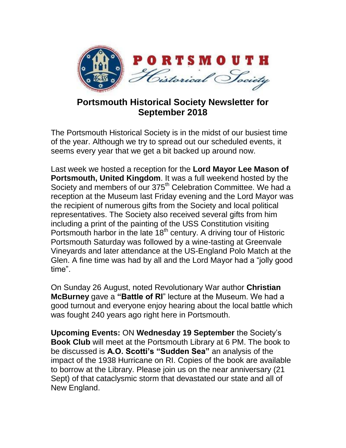

## **Portsmouth Historical Society Newsletter for September 2018**

The Portsmouth Historical Society is in the midst of our busiest time of the year. Although we try to spread out our scheduled events, it seems every year that we get a bit backed up around now.

Last week we hosted a reception for the **Lord Mayor Lee Mason of Portsmouth, United Kingdom**. It was a full weekend hosted by the Society and members of our 375<sup>th</sup> Celebration Committee. We had a reception at the Museum last Friday evening and the Lord Mayor was the recipient of numerous gifts from the Society and local political representatives. The Society also received several gifts from him including a print of the painting of the USS Constitution visiting Portsmouth harbor in the late  $18<sup>th</sup>$  century. A driving tour of Historic Portsmouth Saturday was followed by a wine-tasting at Greenvale Vineyards and later attendance at the US-England Polo Match at the Glen. A fine time was had by all and the Lord Mayor had a "jolly good time".

On Sunday 26 August, noted Revolutionary War author **Christian McBurney** gave a **"Battle of RI**" lecture at the Museum. We had a good turnout and everyone enjoy hearing about the local battle which was fought 240 years ago right here in Portsmouth.

**Upcoming Events:** ON **Wednesday 19 September** the Society's **Book Club** will meet at the Portsmouth Library at 6 PM. The book to be discussed is **A.O. Scotti's "Sudden Sea"** an analysis of the impact of the 1938 Hurricane on RI. Copies of the book are available to borrow at the Library. Please join us on the near anniversary (21 Sept) of that cataclysmic storm that devastated our state and all of New England.